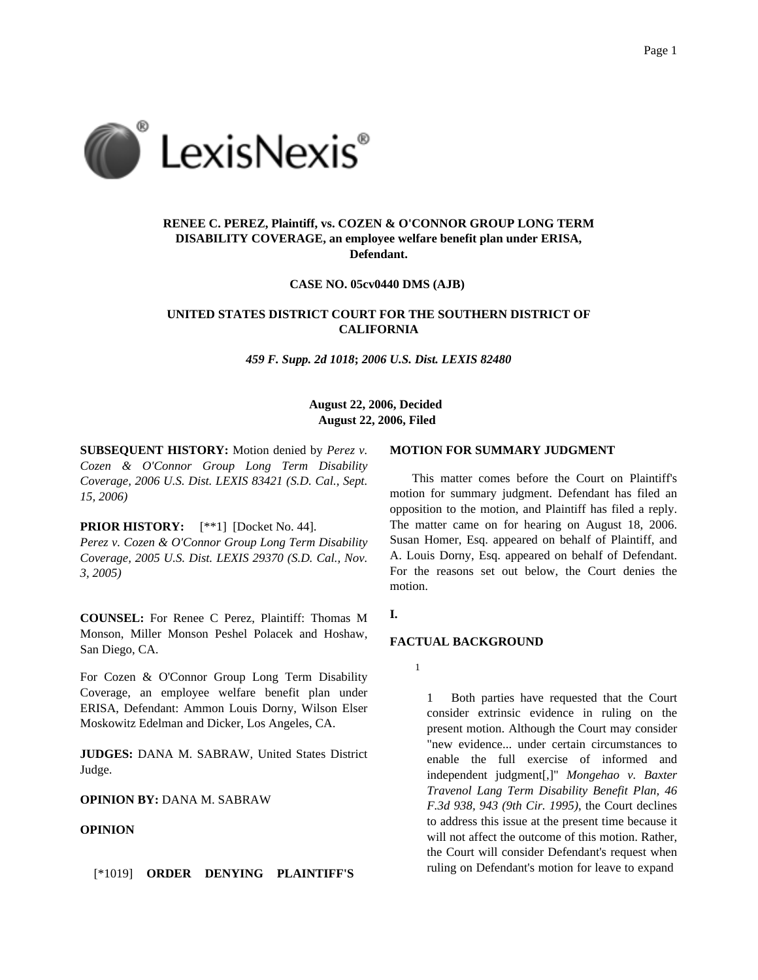

# **RENEE C. PEREZ, Plaintiff, vs. COZEN & O'CONNOR GROUP LONG TERM DISABILITY COVERAGE, an employee welfare benefit plan under ERISA, Defendant.**

**CASE NO. 05cv0440 DMS (AJB)**

# **UNITED STATES DISTRICT COURT FOR THE SOUTHERN DISTRICT OF CALIFORNIA**

*459 F. Supp. 2d 1018***;** *2006 U.S. Dist. LEXIS 82480*

## **August 22, 2006, Decided August 22, 2006, Filed**

**SUBSEQUENT HISTORY:** Motion denied by *Perez v. Cozen & O'Connor Group Long Term Disability Coverage, 2006 U.S. Dist. LEXIS 83421 (S.D. Cal., Sept. 15, 2006)*

### **PRIOR HISTORY:** [\*\*1] [Docket No. 44].

*Perez v. Cozen & O'Connor Group Long Term Disability Coverage, 2005 U.S. Dist. LEXIS 29370 (S.D. Cal., Nov. 3, 2005)*

**COUNSEL:** For Renee C Perez, Plaintiff: Thomas M Monson, Miller Monson Peshel Polacek and Hoshaw, San Diego, CA.

For Cozen & O'Connor Group Long Term Disability Coverage, an employee welfare benefit plan under ERISA, Defendant: Ammon Louis Dorny, Wilson Elser Moskowitz Edelman and Dicker, Los Angeles, CA.

**JUDGES:** DANA M. SABRAW, United States District Judge.

**OPINION BY:** DANA M. SABRAW

#### **OPINION**

[\*1019] **ORDER DENYING PLAINTIFF'S**

#### **MOTION FOR SUMMARY JUDGMENT**

This matter comes before the Court on Plaintiff's motion for summary judgment. Defendant has filed an opposition to the motion, and Plaintiff has filed a reply. The matter came on for hearing on August 18, 2006. Susan Homer, Esq. appeared on behalf of Plaintiff, and A. Louis Dorny, Esq. appeared on behalf of Defendant. For the reasons set out below, the Court denies the motion.

### **I.**

## **FACTUAL BACKGROUND**

1

1 Both parties have requested that the Court consider extrinsic evidence in ruling on the present motion. Although the Court may consider "new evidence... under certain circumstances to enable the full exercise of informed and independent judgment[,]" *Mongehao v. Baxter Travenol Lang Term Disability Benefit Plan, 46 F.3d 938, 943 (9th Cir. 1995)*, the Court declines to address this issue at the present time because it will not affect the outcome of this motion. Rather, the Court will consider Defendant's request when ruling on Defendant's motion for leave to expand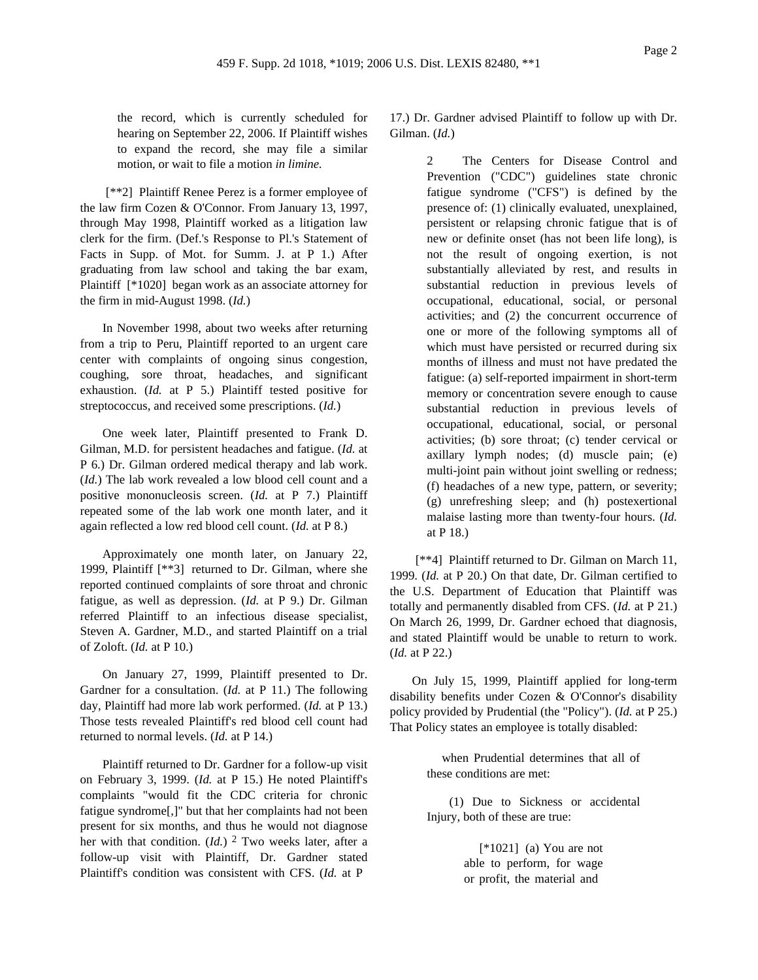the record, which is currently scheduled for hearing on September 22, 2006. If Plaintiff wishes

to expand the record, she may file a similar motion, or wait to file a motion *in limine.* [\*\*2] Plaintiff Renee Perez is a former employee of the law firm Cozen & O'Connor. From January 13, 1997, through May 1998, Plaintiff worked as a litigation law

clerk for the firm. (Def.'s Response to Pl.'s Statement of Facts in Supp. of Mot. for Summ. J. at P 1.) After graduating from law school and taking the bar exam, Plaintiff [\*1020] began work as an associate attorney for the firm in mid-August 1998. (*Id.*)

In November 1998, about two weeks after returning from a trip to Peru, Plaintiff reported to an urgent care center with complaints of ongoing sinus congestion, coughing, sore throat, headaches, and significant exhaustion. (*Id.* at P 5.) Plaintiff tested positive for streptococcus, and received some prescriptions. (*Id.*)

One week later, Plaintiff presented to Frank D. Gilman, M.D. for persistent headaches and fatigue. (*Id.* at P 6.) Dr. Gilman ordered medical therapy and lab work. (*Id.*) The lab work revealed a low blood cell count and a positive mononucleosis screen. (*Id.* at P 7.) Plaintiff repeated some of the lab work one month later, and it again reflected a low red blood cell count. (*Id.* at P 8.)

Approximately one month later, on January 22, 1999, Plaintiff [\*\*3] returned to Dr. Gilman, where she reported continued complaints of sore throat and chronic fatigue, as well as depression. (*Id.* at P 9.) Dr. Gilman referred Plaintiff to an infectious disease specialist, Steven A. Gardner, M.D., and started Plaintiff on a trial of Zoloft. (*Id.* at P 10.)

On January 27, 1999, Plaintiff presented to Dr. Gardner for a consultation. (*Id.* at P 11.) The following day, Plaintiff had more lab work performed. (*Id.* at P 13.) Those tests revealed Plaintiff's red blood cell count had returned to normal levels. (*Id.* at P 14.)

Plaintiff returned to Dr. Gardner for a follow-up visit on February 3, 1999. (*Id.* at P 15.) He noted Plaintiff's complaints "would fit the CDC criteria for chronic fatigue syndrome[,]" but that her complaints had not been present for six months, and thus he would not diagnose her with that condition. (*Id.*) 2 Two weeks later, after a follow-up visit with Plaintiff, Dr. Gardner stated Plaintiff's condition was consistent with CFS. (*Id.* at P

17.) Dr. Gardner advised Plaintiff to follow up with Dr. Gilman. (*Id.*)

> 2 The Centers for Disease Control and Prevention ("CDC") guidelines state chronic fatigue syndrome ("CFS") is defined by the presence of: (1) clinically evaluated, unexplained, persistent or relapsing chronic fatigue that is of new or definite onset (has not been life long), is not the result of ongoing exertion, is not substantially alleviated by rest, and results in substantial reduction in previous levels of occupational, educational, social, or personal activities; and (2) the concurrent occurrence of one or more of the following symptoms all of which must have persisted or recurred during six months of illness and must not have predated the fatigue: (a) self-reported impairment in short-term memory or concentration severe enough to cause substantial reduction in previous levels of occupational, educational, social, or personal activities; (b) sore throat; (c) tender cervical or axillary lymph nodes; (d) muscle pain; (e) multi-joint pain without joint swelling or redness; (f) headaches of a new type, pattern, or severity; (g) unrefreshing sleep; and (h) postexertional malaise lasting more than twenty-four hours. (*Id.* at P 18.)

[\*\*4] Plaintiff returned to Dr. Gilman on March 11, 1999. (*Id.* at P 20.) On that date, Dr. Gilman certified to the U.S. Department of Education that Plaintiff was totally and permanently disabled from CFS. (*Id.* at P 21.) On March 26, 1999, Dr. Gardner echoed that diagnosis, and stated Plaintiff would be unable to return to work. (*Id.* at P 22.)

On July 15, 1999, Plaintiff applied for long-term disability benefits under Cozen & O'Connor's disability policy provided by Prudential (the "Policy"). (*Id.* at P 25.) That Policy states an employee is totally disabled:

> when Prudential determines that all of these conditions are met:

> (1) Due to Sickness or accidental Injury, both of these are true:

> > $[*1021]$  (a) You are not able to perform, for wage or profit, the material and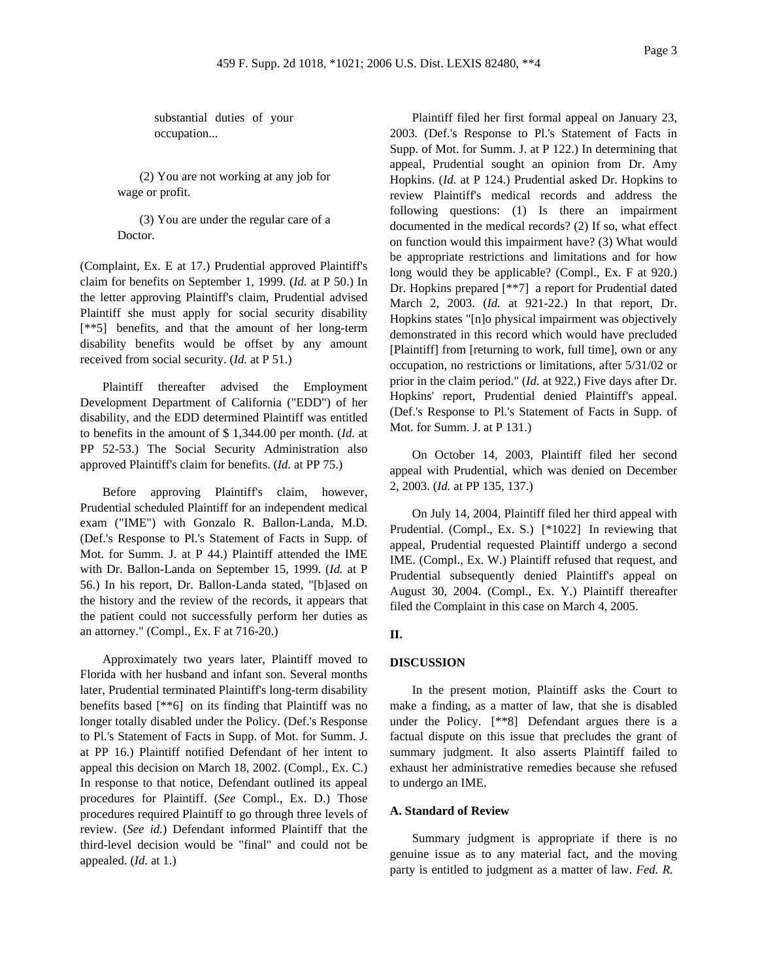substantial duties of your occupation...

(2) You are not working at any job for wage or profit.

(3) You are under the regular care of a Doctor.

(Complaint, Ex. E at 17.) Prudential approved Plaintiff's claim for benefits on September 1, 1999. (*Id.* at P 50.) In the letter approving Plaintiff's claim, Prudential advised Plaintiff she must apply for social security disability [\*\*5] benefits, and that the amount of her long-term disability benefits would be offset by any amount received from social security. (*Id.* at P 51.)

Plaintiff thereafter advised the Employment Development Department of California ("EDD") of her disability, and the EDD determined Plaintiff was entitled to benefits in the amount of \$ 1,344.00 per month. (*Id.* at PP 52-53.) The Social Security Administration also approved Plaintiff's claim for benefits. (*Id.* at PP 75.)

Before approving Plaintiff's claim, however, Prudential scheduled Plaintiff for an independent medical exam ("IME") with Gonzalo R. Ballon-Landa, M.D. (Def.'s Response to Pl.'s Statement of Facts in Supp. of Mot. for Summ. J. at P 44.) Plaintiff attended the IME with Dr. Ballon-Landa on September 15, 1999. (*Id.* at P 56.) In his report, Dr. Ballon-Landa stated, "[b]ased on the history and the review of the records, it appears that the patient could not successfully perform her duties as an attorney." (Compl., Ex. F at 716-20.)

Approximately two years later, Plaintiff moved to Florida with her husband and infant son. Several months later, Prudential terminated Plaintiff's long-term disability benefits based [\*\*6] on its finding that Plaintiff was no longer totally disabled under the Policy. (Def.'s Response to Pl.'s Statement of Facts in Supp. of Mot. for Summ. J. at PP 16.) Plaintiff notified Defendant of her intent to appeal this decision on March 18, 2002. (Compl., Ex. C.) In response to that notice, Defendant outlined its appeal procedures for Plaintiff. (*See* Compl., Ex. D.) Those procedures required Plaintiff to go through three levels of review. (*See id.*) Defendant informed Plaintiff that the third-level decision would be "final" and could not be appealed. (*Id.* at 1.)

Plaintiff filed her first formal appeal on January 23, 2003. (Def.'s Response to Pl.'s Statement of Facts in Supp. of Mot. for Summ. J. at P 122.) In determining that appeal, Prudential sought an opinion from Dr. Amy Hopkins. (*Id.* at P 124.) Prudential asked Dr. Hopkins to review Plaintiff's medical records and address the following questions: (1) Is there an impairment documented in the medical records? (2) If so, what effect on function would this impairment have? (3) What would be appropriate restrictions and limitations and for how long would they be applicable? (Compl., Ex. F at 920.) Dr. Hopkins prepared [\*\*7] a report for Prudential dated March 2, 2003. (*Id.* at 921-22.) In that report, Dr. Hopkins states "[n]o physical impairment was objectively demonstrated in this record which would have precluded [Plaintiff] from [returning to work, full time], own or any occupation, no restrictions or limitations, after 5/31/02 or prior in the claim period." (*Id.* at 922.) Five days after Dr. Hopkins' report, Prudential denied Plaintiff's appeal. (Def.'s Response to Pl.'s Statement of Facts in Supp. of Mot. for Summ. J. at P 131.)

On October 14, 2003, Plaintiff filed her second appeal with Prudential, which was denied on December 2, 2003. (*Id.* at PP 135, 137.)

On July 14, 2004, Plaintiff filed her third appeal with Prudential. (Compl., Ex. S.) [\*1022] In reviewing that appeal, Prudential requested Plaintiff undergo a second IME. (Compl., Ex. W.) Plaintiff refused that request, and Prudential subsequently denied Plaintiff's appeal on August 30, 2004. (Compl., Ex. Y.) Plaintiff thereafter filed the Complaint in this case on March 4, 2005.

### **II.**

#### **DISCUSSION**

In the present motion, Plaintiff asks the Court to make a finding, as a matter of law, that she is disabled under the Policy. [\*\*8] Defendant argues there is a factual dispute on this issue that precludes the grant of summary judgment. It also asserts Plaintiff failed to exhaust her administrative remedies because she refused to undergo an IME.

### **A. Standard of Review**

Summary judgment is appropriate if there is no genuine issue as to any material fact, and the moving party is entitled to judgment as a matter of law. *Fed. R.*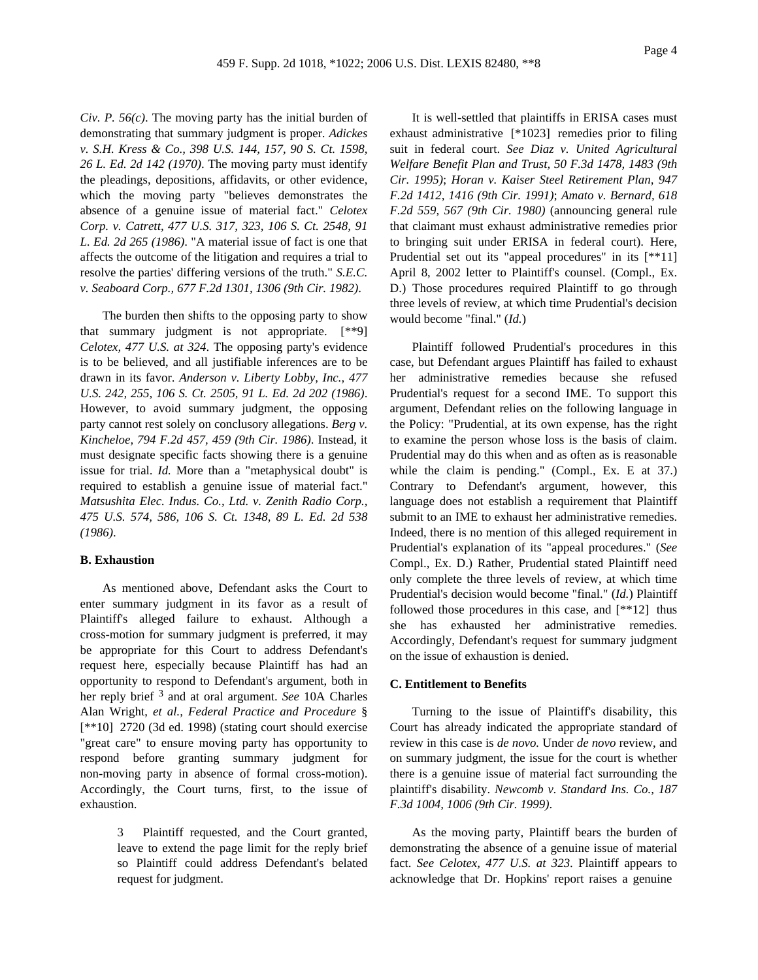*Civ. P. 56(c)*. The moving party has the initial burden of demonstrating that summary judgment is proper. *Adickes v. S.H. Kress & Co., 398 U.S. 144, 157, 90 S. Ct. 1598, 26 L. Ed. 2d 142 (1970)*. The moving party must identify the pleadings, depositions, affidavits, or other evidence, which the moving party "believes demonstrates the absence of a genuine issue of material fact." *Celotex Corp. v. Catrett, 477 U.S. 317, 323, 106 S. Ct. 2548, 91 L. Ed. 2d 265 (1986)*. "A material issue of fact is one that affects the outcome of the litigation and requires a trial to resolve the parties' differing versions of the truth." *S.E.C. v. Seaboard Corp., 677 F.2d 1301, 1306 (9th Cir. 1982)*.

The burden then shifts to the opposing party to show that summary judgment is not appropriate. [\*\*9] *Celotex, 477 U.S. at 324*. The opposing party's evidence is to be believed, and all justifiable inferences are to be drawn in its favor. *Anderson v. Liberty Lobby, Inc., 477 U.S. 242, 255, 106 S. Ct. 2505, 91 L. Ed. 2d 202 (1986)*. However, to avoid summary judgment, the opposing party cannot rest solely on conclusory allegations. *Berg v. Kincheloe, 794 F.2d 457, 459 (9th Cir. 1986)*. Instead, it must designate specific facts showing there is a genuine issue for trial. *Id.* More than a "metaphysical doubt" is required to establish a genuine issue of material fact." *Matsushita Elec. Indus. Co., Ltd. v. Zenith Radio Corp., 475 U.S. 574, 586, 106 S. Ct. 1348, 89 L. Ed. 2d 538 (1986)*.

### **B. Exhaustion**

As mentioned above, Defendant asks the Court to enter summary judgment in its favor as a result of Plaintiff's alleged failure to exhaust. Although a cross-motion for summary judgment is preferred, it may be appropriate for this Court to address Defendant's request here, especially because Plaintiff has had an opportunity to respond to Defendant's argument, both in her reply brief 3 and at oral argument. *See* 10A Charles Alan Wright, *et al., Federal Practice and Procedure* § [\*\*10] 2720 (3d ed. 1998) (stating court should exercise "great care" to ensure moving party has opportunity to respond before granting summary judgment for non-moving party in absence of formal cross-motion). Accordingly, the Court turns, first, to the issue of exhaustion.

> 3 Plaintiff requested, and the Court granted, leave to extend the page limit for the reply brief so Plaintiff could address Defendant's belated request for judgment.

It is well-settled that plaintiffs in ERISA cases must exhaust administrative [\*1023] remedies prior to filing suit in federal court. *See Diaz v. United Agricultural Welfare Benefit Plan and Trust, 50 F.3d 1478, 1483 (9th Cir. 1995)*; *Horan v. Kaiser Steel Retirement Plan, 947 F.2d 1412, 1416 (9th Cir. 1991)*; *Amato v. Bernard, 618 F.2d 559, 567 (9th Cir. 1980)* (announcing general rule that claimant must exhaust administrative remedies prior to bringing suit under ERISA in federal court). Here, Prudential set out its "appeal procedures" in its [\*\*11] April 8, 2002 letter to Plaintiff's counsel. (Compl., Ex. D.) Those procedures required Plaintiff to go through three levels of review, at which time Prudential's decision would become "final." (*Id.*)

Plaintiff followed Prudential's procedures in this case, but Defendant argues Plaintiff has failed to exhaust her administrative remedies because she refused Prudential's request for a second IME. To support this argument, Defendant relies on the following language in the Policy: "Prudential, at its own expense, has the right to examine the person whose loss is the basis of claim. Prudential may do this when and as often as is reasonable while the claim is pending." (Compl., Ex. E at 37.) Contrary to Defendant's argument, however, this language does not establish a requirement that Plaintiff submit to an IME to exhaust her administrative remedies. Indeed, there is no mention of this alleged requirement in Prudential's explanation of its "appeal procedures." (*See* Compl., Ex. D.) Rather, Prudential stated Plaintiff need only complete the three levels of review, at which time Prudential's decision would become "final." (*Id.*) Plaintiff followed those procedures in this case, and [\*\*12] thus she has exhausted her administrative remedies. Accordingly, Defendant's request for summary judgment on the issue of exhaustion is denied.

#### **C. Entitlement to Benefits**

Turning to the issue of Plaintiff's disability, this Court has already indicated the appropriate standard of review in this case is *de novo.* Under *de novo* review, and on summary judgment, the issue for the court is whether there is a genuine issue of material fact surrounding the plaintiff's disability. *Newcomb v. Standard Ins. Co., 187 F.3d 1004, 1006 (9th Cir. 1999)*.

As the moving party, Plaintiff bears the burden of demonstrating the absence of a genuine issue of material fact. *See Celotex, 477 U.S. at 323*. Plaintiff appears to acknowledge that Dr. Hopkins' report raises a genuine